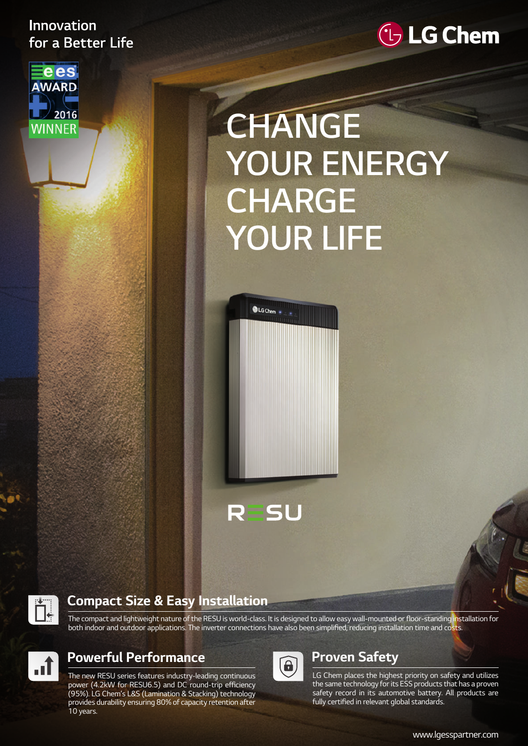## Innovation for a Better Life





# **CHANGE YOUR ENERGY CHARGE YOUR LIFE**



**SU** 

R



#### **Compact Size & Easy Installation**

The compact and lightweight nature of the RESU is world-class. It is designed to allow easy wall-mounted or floor-standing installation for both indoor and outdoor applications. The inverter connections have also been simplified, reducing installation time and costs.



### **Powerful Performance**

The new RESU series features industry-leading continuous power (4.2kW for RESU6.5) and DC round-trip efficiency (95%). LG Chem's L&S (Lamination & Stacking) technology provides durability ensuring 80% of capacity retention after 10 years.



# **Proven Safety**

LG Chem places the highest priority on safety and utilizes the same technology for its ESS products that has a proven safety record in its automotive battery. All products are fully certified in relevant global standards.